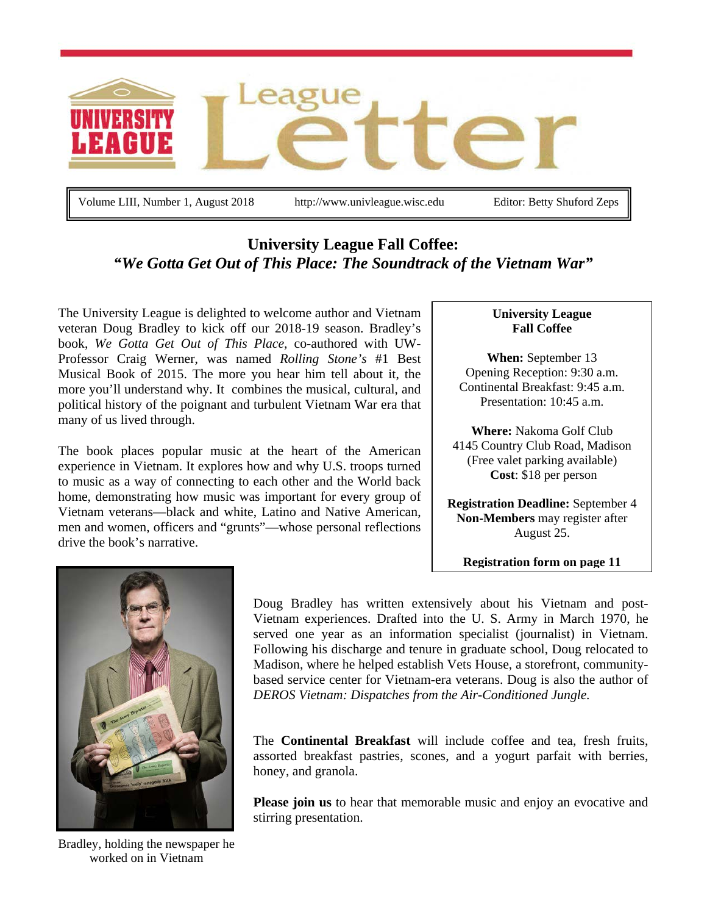

Volume LIII, Number 1, August 2018 http://www.univleague.wisc.edu Editor: Betty Shuford Zeps

# **University League Fall Coffee:** *"We Gotta Get Out of This Place: The Soundtrack of the Vietnam War"*

The University League is delighted to welcome author and Vietnam veteran Doug Bradley to kick off our 2018-19 season. Bradley's book, *We Gotta Get Out of This Place,* co-authored with UW-Professor Craig Werner, was named *Rolling Stone's* #1 Best Musical Book of 2015. The more you hear him tell about it, the more you'll understand why. It combines the musical, cultural, and political history of the poignant and turbulent Vietnam War era that many of us lived through.

The book places popular music at the heart of the American experience in Vietnam. It explores how and why U.S. troops turned to music as a way of connecting to each other and the World back home, demonstrating how music was important for every group of Vietnam veterans—black and white, Latino and Native American, men and women, officers and "grunts"—whose personal reflections drive the book's narrative.

#### **University League Fall Coffee**

**When:** September 13 Opening Reception: 9:30 a.m. Continental Breakfast: 9:45 a.m. Presentation: 10:45 a.m.

**Where:** Nakoma Golf Club 4145 Country Club Road, Madison (Free valet parking available) **Cost**: \$18 per person

**Registration Deadline:** September 4 **Non-Members** may register after August 25.

**Registration form on page 11**



Bradley, holding the newspaper he worked on in Vietnam

Doug Bradley has written extensively about his Vietnam and post-Vietnam experiences. Drafted into the U. S. Army in March 1970, he served one year as an information specialist (journalist) in Vietnam. Following his discharge and tenure in graduate school, Doug relocated to Madison, where he helped establish Vets House, a storefront, communitybased service center for Vietnam-era veterans. Doug is also the author of *DEROS Vietnam: Dispatches from the Air-Conditioned Jungle.*

The **Continental Breakfast** will include coffee and tea, fresh fruits, assorted breakfast pastries, scones, and a yogurt parfait with berries, honey, and granola.

**Please join us** to hear that memorable music and enjoy an evocative and stirring presentation.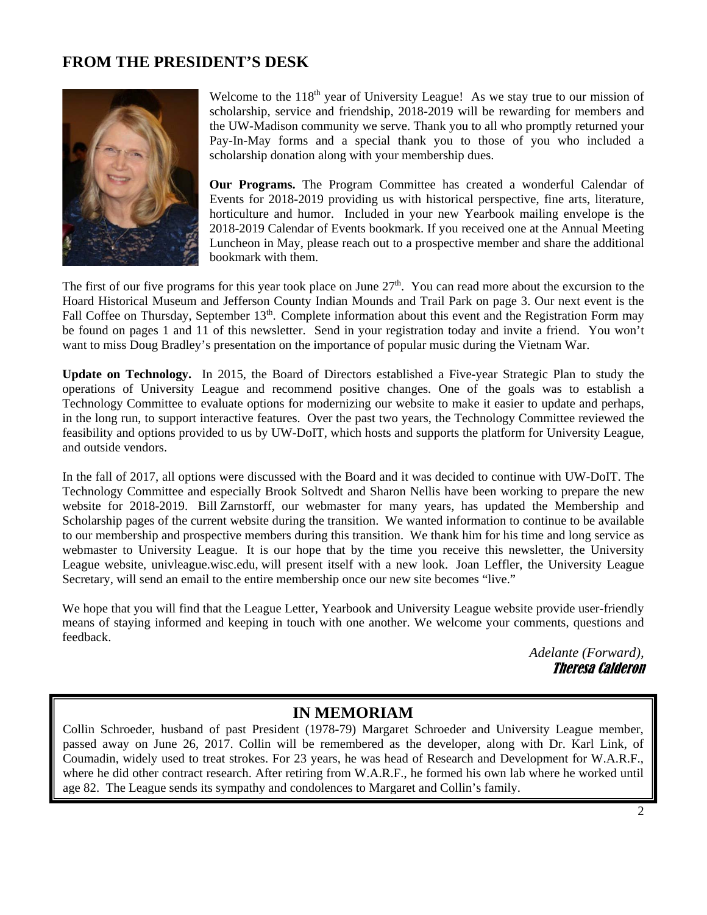## **FROM THE PRESIDENT'S DESK**



Welcome to the  $118<sup>th</sup>$  year of University League! As we stay true to our mission of scholarship, service and friendship, 2018-2019 will be rewarding for members and the UW-Madison community we serve. Thank you to all who promptly returned your Pay-In-May forms and a special thank you to those of you who included a scholarship donation along with your membership dues.

**Our Programs.** The Program Committee has created a wonderful Calendar of Events for 2018-2019 providing us with historical perspective, fine arts, literature, horticulture and humor. Included in your new Yearbook mailing envelope is the 2018-2019 Calendar of Events bookmark. If you received one at the Annual Meeting Luncheon in May, please reach out to a prospective member and share the additional bookmark with them.

The first of our five programs for this year took place on June 27<sup>th</sup>. You can read more about the excursion to the Hoard Historical Museum and Jefferson County Indian Mounds and Trail Park on page 3. Our next event is the Fall Coffee on Thursday, September 13<sup>th</sup>. Complete information about this event and the Registration Form may be found on pages 1 and 11 of this newsletter. Send in your registration today and invite a friend. You won't want to miss Doug Bradley's presentation on the importance of popular music during the Vietnam War.

**Update on Technology.** In 2015, the Board of Directors established a Five-year Strategic Plan to study the operations of University League and recommend positive changes. One of the goals was to establish a Technology Committee to evaluate options for modernizing our website to make it easier to update and perhaps, in the long run, to support interactive features. Over the past two years, the Technology Committee reviewed the feasibility and options provided to us by UW-DoIT, which hosts and supports the platform for University League, and outside vendors.

In the fall of 2017, all options were discussed with the Board and it was decided to continue with UW-DoIT. The Technology Committee and especially Brook Soltvedt and Sharon Nellis have been working to prepare the new website for 2018-2019. Bill Zarnstorff, our webmaster for many years, has updated the Membership and Scholarship pages of the current website during the transition. We wanted information to continue to be available to our membership and prospective members during this transition. We thank him for his time and long service as webmaster to University League. It is our hope that by the time you receive this newsletter, the University League website, univleague.wisc.edu, will present itself with a new look. Joan Leffler, the University League Secretary, will send an email to the entire membership once our new site becomes "live."

We hope that you will find that the League Letter, Yearbook and University League website provide user-friendly means of staying informed and keeping in touch with one another. We welcome your comments, questions and feedback.

> *Adelante (Forward),* Theresa Calderon

## **IN MEMORIAM**

Collin Schroeder, husband of past President (1978-79) Margaret Schroeder and University League member, passed away on June 26, 2017. Collin will be remembered as the developer, along with Dr. Karl Link, of Coumadin, widely used to treat strokes. For 23 years, he was head of Research and Development for W.A.R.F., where he did other contract research. After retiring from W.A.R.F., he formed his own lab where he worked until age 82. The League sends its sympathy and condolences to Margaret and Collin's family.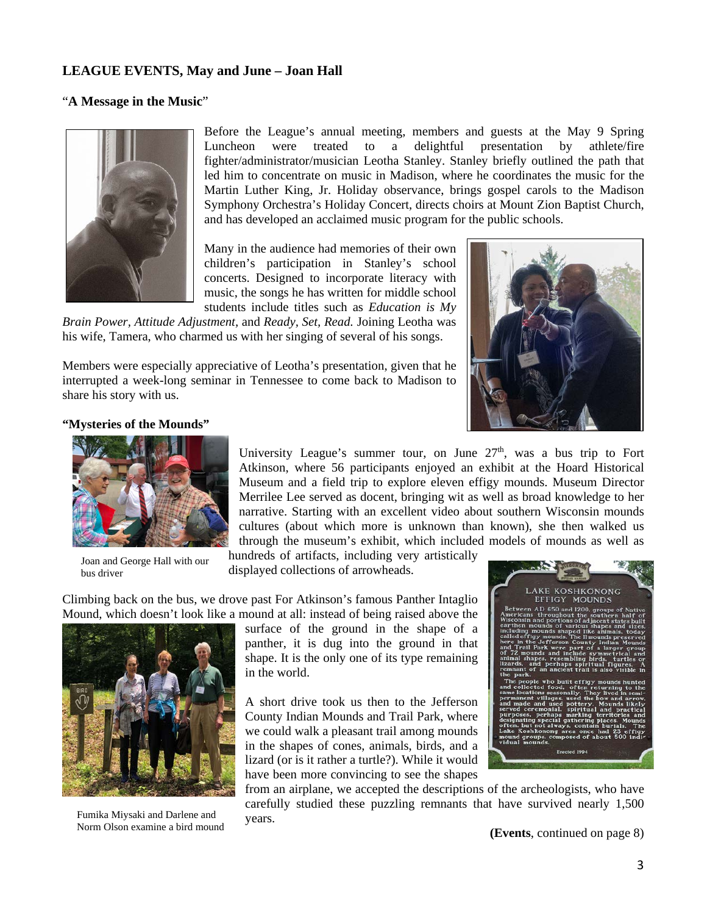### **LEAGUE EVENTS, May and June – Joan Hall**

#### "**A Message in the Music**"



Before the League's annual meeting, members and guests at the May 9 Spring Luncheon were treated to a delightful presentation by athlete/fire fighter/administrator/musician Leotha Stanley. Stanley briefly outlined the path that led him to concentrate on music in Madison, where he coordinates the music for the Martin Luther King, Jr. Holiday observance, brings gospel carols to the Madison Symphony Orchestra's Holiday Concert, directs choirs at Mount Zion Baptist Church, and has developed an acclaimed music program for the public schools.

Many in the audience had memories of their own children's participation in Stanley's school concerts. Designed to incorporate literacy with music, the songs he has written for middle school students include titles such as *Education is My* 

*Brain Power, Attitude Adjustment,* and *Ready, Set, Read.* Joining Leotha was his wife, Tamera, who charmed us with her singing of several of his songs.

Members were especially appreciative of Leotha's presentation, given that he interrupted a week-long seminar in Tennessee to come back to Madison to share his story with us.



#### **"Mysteries of the Mounds"**



Joan and George Hall with our bus driver

University League's summer tour, on June  $27<sup>th</sup>$ , was a bus trip to Fort Atkinson, where 56 participants enjoyed an exhibit at the Hoard Historical Museum and a field trip to explore eleven effigy mounds. Museum Director Merrilee Lee served as docent, bringing wit as well as broad knowledge to her narrative. Starting with an excellent video about southern Wisconsin mounds cultures (about which more is unknown than known), she then walked us through the museum's exhibit, which included models of mounds as well as

hundreds of artifacts, including very artistically displayed collections of arrowheads.

Climbing back on the bus, we drove past For Atkinson's famous Panther Intaglio Mound, which doesn't look like a mound at all: instead of being raised above the



Fumika Miysaki and Darlene and Norm Olson examine a bird mound

surface of the ground in the shape of a panther, it is dug into the ground in that shape. It is the only one of its type remaining in the world.

A short drive took us then to the Jefferson County Indian Mounds and Trail Park, where we could walk a pleasant trail among mounds in the shapes of cones, animals, birds, and a lizard (or is it rather a turtle?). While it would have been more convincing to see the shapes



from an airplane, we accepted the descriptions of the archeologists, who have carefully studied these puzzling remnants that have survived nearly 1,500 years.

**(Events**, continued on page 8)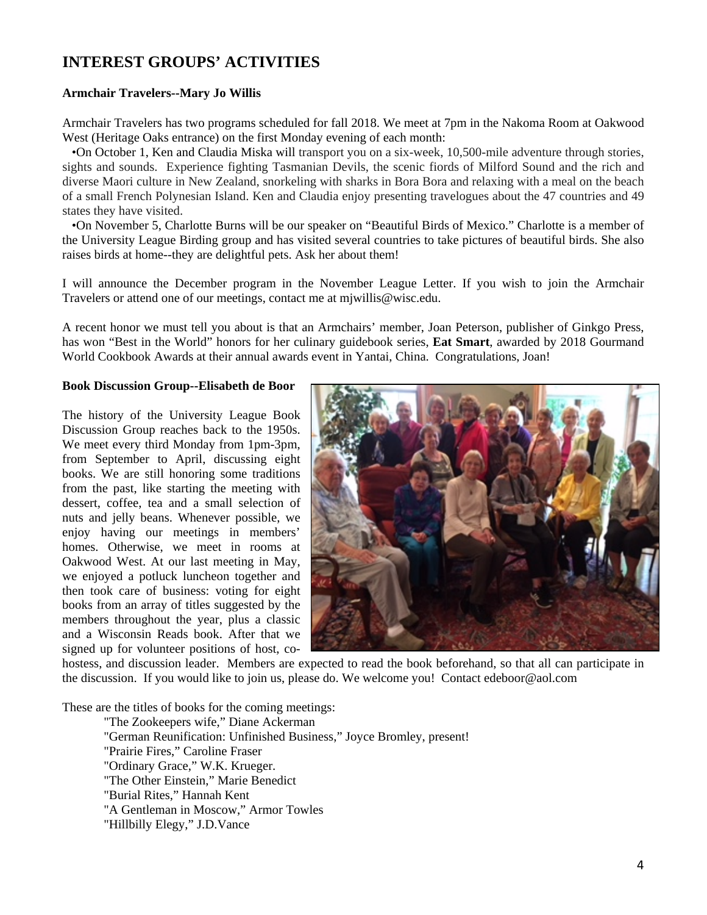# **INTEREST GROUPS' ACTIVITIES**

#### **Armchair Travelers--Mary Jo Willis**

Armchair Travelers has two programs scheduled for fall 2018. We meet at 7pm in the Nakoma Room at Oakwood West (Heritage Oaks entrance) on the first Monday evening of each month:

 •On October 1, Ken and Claudia Miska will transport you on a six-week, 10,500-mile adventure through stories, sights and sounds. Experience fighting Tasmanian Devils, the scenic fiords of Milford Sound and the rich and diverse Maori culture in New Zealand, snorkeling with sharks in Bora Bora and relaxing with a meal on the beach of a small French Polynesian Island. Ken and Claudia enjoy presenting travelogues about the 47 countries and 49 states they have visited.

 •On November 5, Charlotte Burns will be our speaker on "Beautiful Birds of Mexico." Charlotte is a member of the University League Birding group and has visited several countries to take pictures of beautiful birds. She also raises birds at home--they are delightful pets. Ask her about them!

I will announce the December program in the November League Letter. If you wish to join the Armchair Travelers or attend one of our meetings, contact me at mjwillis@wisc.edu.

A recent honor we must tell you about is that an Armchairs' member, Joan Peterson, publisher of Ginkgo Press, has won "Best in the World" honors for her culinary guidebook series, **Eat Smart**, awarded by 2018 Gourmand World Cookbook Awards at their annual awards event in Yantai, China. Congratulations, Joan!

#### **Book Discussion Group--Elisabeth de Boor**

The history of the University League Book Discussion Group reaches back to the 1950s. We meet every third Monday from 1pm-3pm, from September to April, discussing eight books. We are still honoring some traditions from the past, like starting the meeting with dessert, coffee, tea and a small selection of nuts and jelly beans. Whenever possible, we enjoy having our meetings in members' homes. Otherwise, we meet in rooms at Oakwood West. At our last meeting in May, we enjoyed a potluck luncheon together and then took care of business: voting for eight books from an array of titles suggested by the members throughout the year, plus a classic and a Wisconsin Reads book. After that we signed up for volunteer positions of host, co-



hostess, and discussion leader. Members are expected to read the book beforehand, so that all can participate in the discussion. If you would like to join us, please do. We welcome you! Contact edeboor@aol.com

These are the titles of books for the coming meetings:

"The Zookeepers wife," Diane Ackerman "German Reunification: Unfinished Business," Joyce Bromley, present! "Prairie Fires," Caroline Fraser "Ordinary Grace," W.K. Krueger. "The Other Einstein," Marie Benedict "Burial Rites," Hannah Kent "A Gentleman in Moscow," Armor Towles "Hillbilly Elegy," J.D.Vance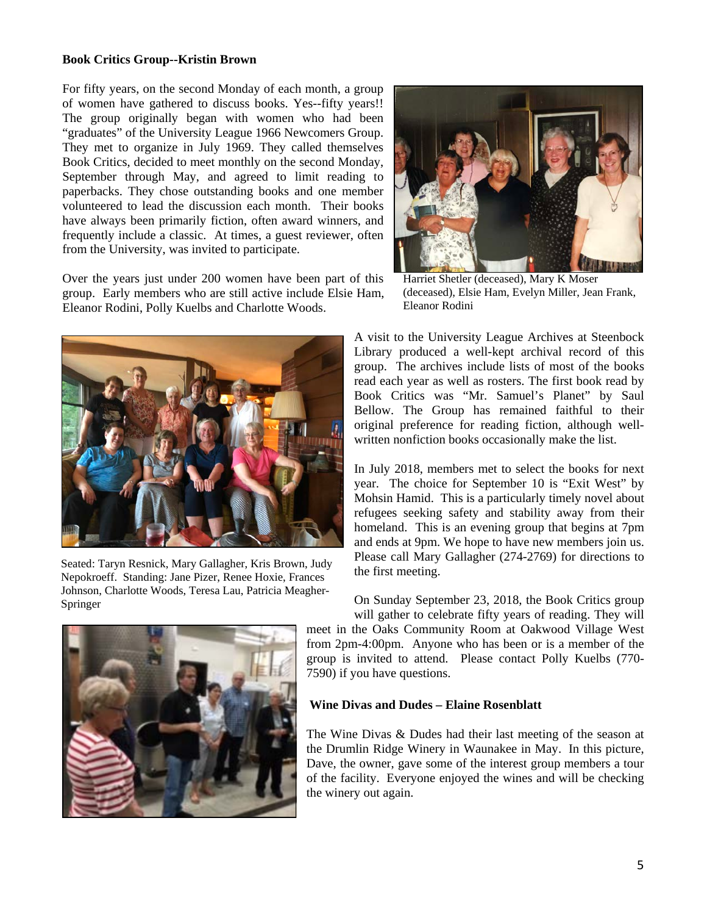#### **Book Critics Group--Kristin Brown**

For fifty years, on the second Monday of each month, a group of women have gathered to discuss books. Yes--fifty years!! The group originally began with women who had been "graduates" of the University League 1966 Newcomers Group. They met to organize in July 1969. They called themselves Book Critics, decided to meet monthly on the second Monday, September through May, and agreed to limit reading to paperbacks. They chose outstanding books and one member volunteered to lead the discussion each month. Their books have always been primarily fiction, often award winners, and frequently include a classic. At times, a guest reviewer, often from the University, was invited to participate.

Over the years just under 200 women have been part of this group. Early members who are still active include Elsie Ham, Eleanor Rodini, Polly Kuelbs and Charlotte Woods.



Seated: Taryn Resnick, Mary Gallagher, Kris Brown, Judy Nepokroeff. Standing: Jane Pizer, Renee Hoxie, Frances Johnson, Charlotte Woods, Teresa Lau, Patricia Meagher-Springer





Harriet Shetler (deceased), Mary K Moser (deceased), Elsie Ham, Evelyn Miller, Jean Frank, Eleanor Rodini

A visit to the University League Archives at Steenbock Library produced a well-kept archival record of this group. The archives include lists of most of the books read each year as well as rosters. The first book read by Book Critics was "Mr. Samuel's Planet" by Saul Bellow. The Group has remained faithful to their original preference for reading fiction, although wellwritten nonfiction books occasionally make the list.

In July 2018, members met to select the books for next year. The choice for September 10 is "Exit West" by Mohsin Hamid. This is a particularly timely novel about refugees seeking safety and stability away from their homeland. This is an evening group that begins at 7pm and ends at 9pm. We hope to have new members join us. Please call Mary Gallagher (274-2769) for directions to the first meeting.

On Sunday September 23, 2018, the Book Critics group will gather to celebrate fifty years of reading. They will meet in the Oaks Community Room at Oakwood Village West from 2pm-4:00pm. Anyone who has been or is a member of the group is invited to attend. Please contact Polly Kuelbs (770- 7590) if you have questions.

#### **Wine Divas and Dudes – Elaine Rosenblatt**

The Wine Divas & Dudes had their last meeting of the season at the Drumlin Ridge Winery in Waunakee in May. In this picture, Dave, the owner, gave some of the interest group members a tour of the facility. Everyone enjoyed the wines and will be checking the winery out again.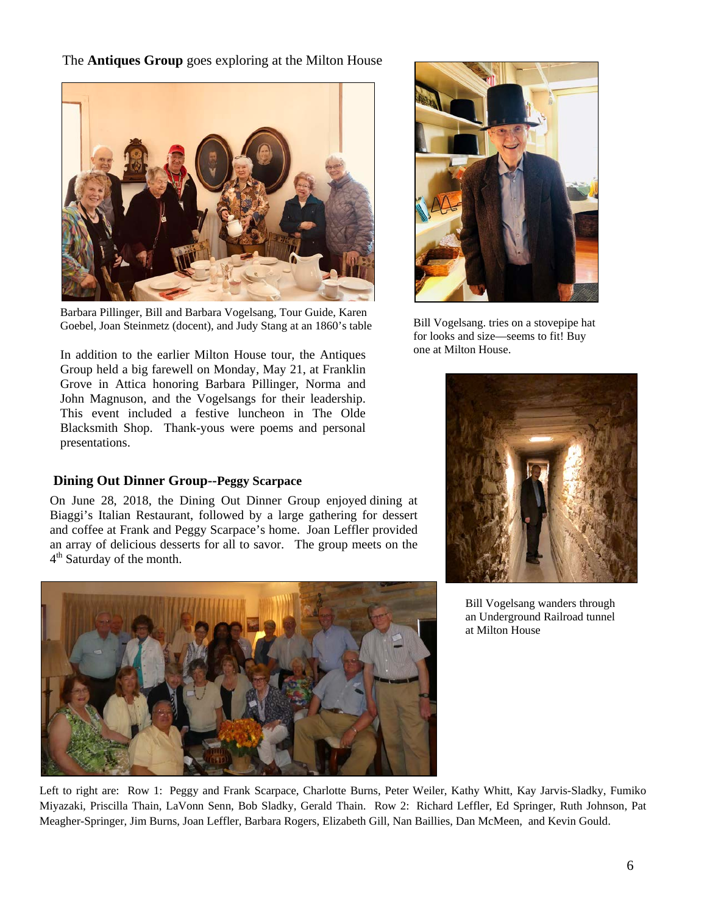The **Antiques Group** goes exploring at the Milton House



Barbara Pillinger, Bill and Barbara Vogelsang, Tour Guide, Karen Goebel, Joan Steinmetz (docent), and Judy Stang at an 1860's table

In addition to the earlier Milton House tour, the Antiques Group held a big farewell on Monday, May 21, at Franklin Grove in Attica honoring Barbara Pillinger, Norma and John Magnuson, and the Vogelsangs for their leadership. This event included a festive luncheon in The Olde Blacksmith Shop. Thank-yous were poems and personal presentations.

## **Dining Out Dinner Group--Peggy Scarpace**

On June 28, 2018, the Dining Out Dinner Group enjoyed dining at Biaggi's Italian Restaurant, followed by a large gathering for dessert and coffee at Frank and Peggy Scarpace's home. Joan Leffler provided an array of delicious desserts for all to savor. The group meets on the 4th Saturday of the month.





Bill Vogelsang. tries on a stovepipe hat for looks and size—seems to fit! Buy one at Milton House.



Bill Vogelsang wanders through an Underground Railroad tunnel at Milton House

Left to right are: Row 1: Peggy and Frank Scarpace, Charlotte Burns, Peter Weiler, Kathy Whitt, Kay Jarvis-Sladky, Fumiko Miyazaki, Priscilla Thain, LaVonn Senn, Bob Sladky, Gerald Thain. Row 2: Richard Leffler, Ed Springer, Ruth Johnson, Pat Meagher-Springer, Jim Burns, Joan Leffler, Barbara Rogers, Elizabeth Gill, Nan Baillies, Dan McMeen, and Kevin Gould.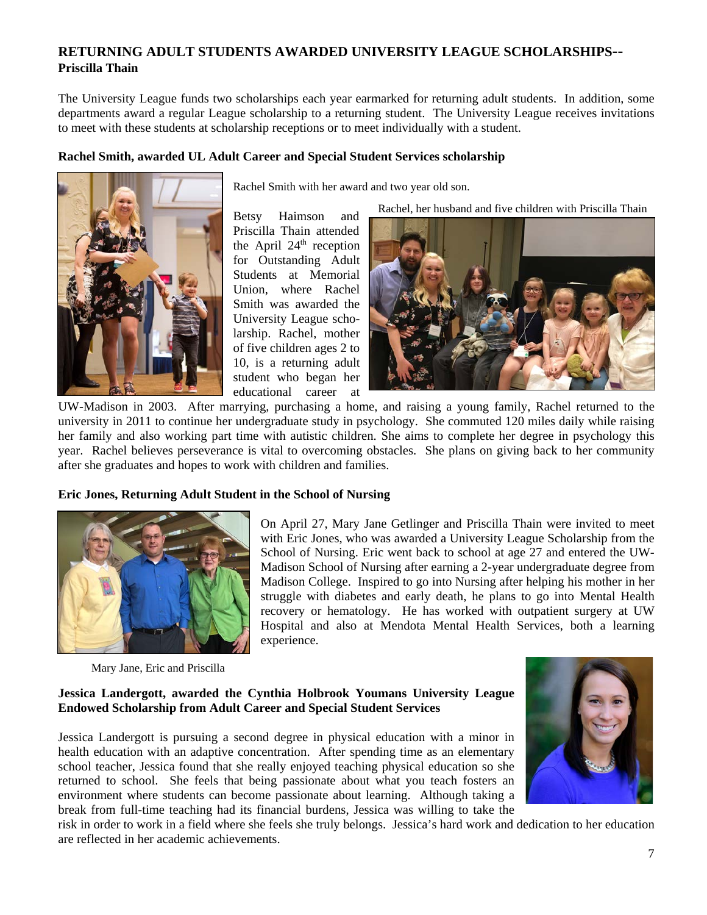## **RETURNING ADULT STUDENTS AWARDED UNIVERSITY LEAGUE SCHOLARSHIPS-- Priscilla Thain**

The University League funds two scholarships each year earmarked for returning adult students. In addition, some departments award a regular League scholarship to a returning student. The University League receives invitations to meet with these students at scholarship receptions or to meet individually with a student.

#### **Rachel Smith, awarded UL Adult Career and Special Student Services scholarship**



Rachel Smith with her award and two year old son.

Betsy Haimson and Rachel, her husband and five children with Priscilla Thain

Priscilla Thain attended the April  $24<sup>th</sup>$  reception for Outstanding Adult Students at Memorial Union, where Rachel Smith was awarded the University League scholarship. Rachel, mother of five children ages 2 to 10, is a returning adult student who began her educational career at



UW-Madison in 2003. After marrying, purchasing a home, and raising a young family, Rachel returned to the university in 2011 to continue her undergraduate study in psychology. She commuted 120 miles daily while raising her family and also working part time with autistic children. She aims to complete her degree in psychology this year. Rachel believes perseverance is vital to overcoming obstacles. She plans on giving back to her community after she graduates and hopes to work with children and families.

#### **Eric Jones, Returning Adult Student in the School of Nursing**



On April 27, Mary Jane Getlinger and Priscilla Thain were invited to meet with Eric Jones, who was awarded a University League Scholarship from the School of Nursing. Eric went back to school at age 27 and entered the UW-Madison School of Nursing after earning a 2-year undergraduate degree from Madison College. Inspired to go into Nursing after helping his mother in her struggle with diabetes and early death, he plans to go into Mental Health recovery or hematology. He has worked with outpatient surgery at UW Hospital and also at Mendota Mental Health Services, both a learning experience.

Mary Jane, Eric and Priscilla

#### **Jessica Landergott, awarded the Cynthia Holbrook Youmans University League Endowed Scholarship from Adult Career and Special Student Services**

Jessica Landergott is pursuing a second degree in physical education with a minor in health education with an adaptive concentration. After spending time as an elementary school teacher, Jessica found that she really enjoyed teaching physical education so she returned to school. She feels that being passionate about what you teach fosters an environment where students can become passionate about learning. Although taking a break from full-time teaching had its financial burdens, Jessica was willing to take the



risk in order to work in a field where she feels she truly belongs. Jessica's hard work and dedication to her education are reflected in her academic achievements.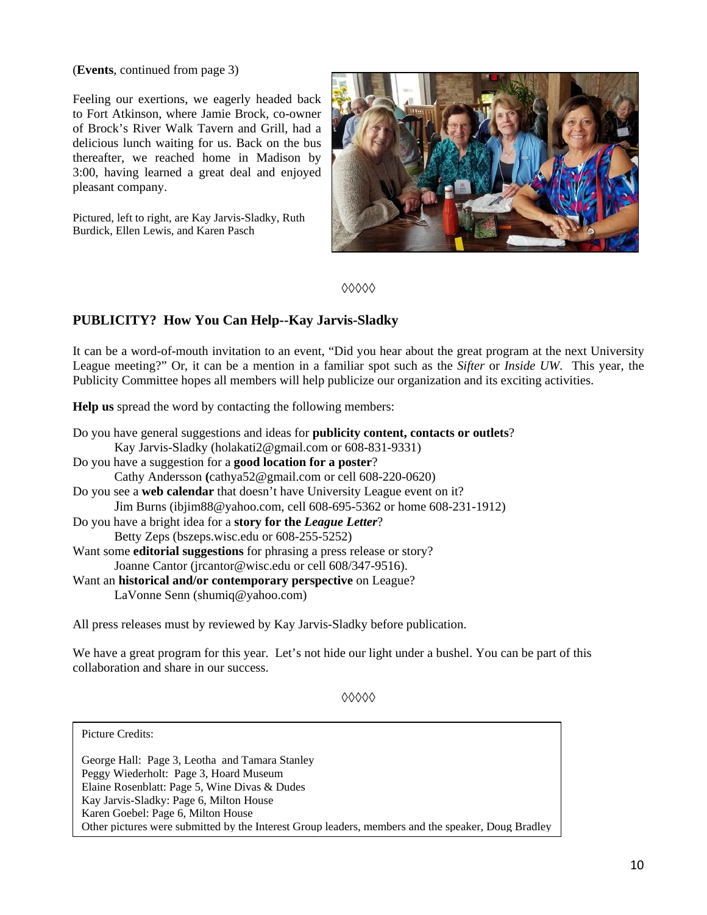(**Events**, continued from page 3)

Feeling our exertions, we eagerly headed back to Fort Atkinson, where Jamie Brock, co-owner of Brock's River Walk Tavern and Grill, had a delicious lunch waiting for us. Back on the bus thereafter, we reached home in Madison by 3:00, having learned a great deal and enjoyed pleasant company.

Pictured, left to right, are Kay Jarvis-Sladky, Ruth Burdick, Ellen Lewis, and Karen Pasch



**◊◊◊◊◊**

## **PUBLICITY? How You Can Help--Kay Jarvis-Sladky**

It can be a word-of-mouth invitation to an event, "Did you hear about the great program at the next University League meeting?" Or, it can be a mention in a familiar spot such as the *Sifter* or *Inside UW*. This year, the Publicity Committee hopes all members will help publicize our organization and its exciting activities.

**Help us** spread the word by contacting the following members:

Do you have general suggestions and ideas for **publicity content, contacts or outlets**? Kay Jarvis-Sladky (holakati2@gmail.com or 608-831-9331) Do you have a suggestion for a **good location for a poster**? Cathy Andersson **(**cathya52@gmail.com or cell 608-220-0620) Do you see a **web calendar** that doesn't have University League event on it? Jim Burns (ibjim88@yahoo.com, cell 608-695-5362 or home 608-231-1912) Do you have a bright idea for a **story for the** *League Letter*? Betty Zeps (bszeps.wisc.edu or 608-255-5252) Want some **editorial suggestions** for phrasing a press release or story? Joanne Cantor (jrcantor@wisc.edu or cell 608/347-9516). Want an **historical and/or contemporary perspective** on League? LaVonne Senn (shumiq@yahoo.com)

All press releases must by reviewed by Kay Jarvis-Sladky before publication.

We have a great program for this year. Let's not hide our light under a bushel. You can be part of this collaboration and share in our success.

**◊◊◊◊◊**

Picture Credits:

George Hall: Page 3, Leotha and Tamara Stanley Peggy Wiederholt: Page 3, Hoard Museum Elaine Rosenblatt: Page 5, Wine Divas & Dudes Kay Jarvis-Sladky: Page 6, Milton House Karen Goebel: Page 6, Milton House Other pictures were submitted by the Interest Group leaders, members and the speaker, Doug Bradley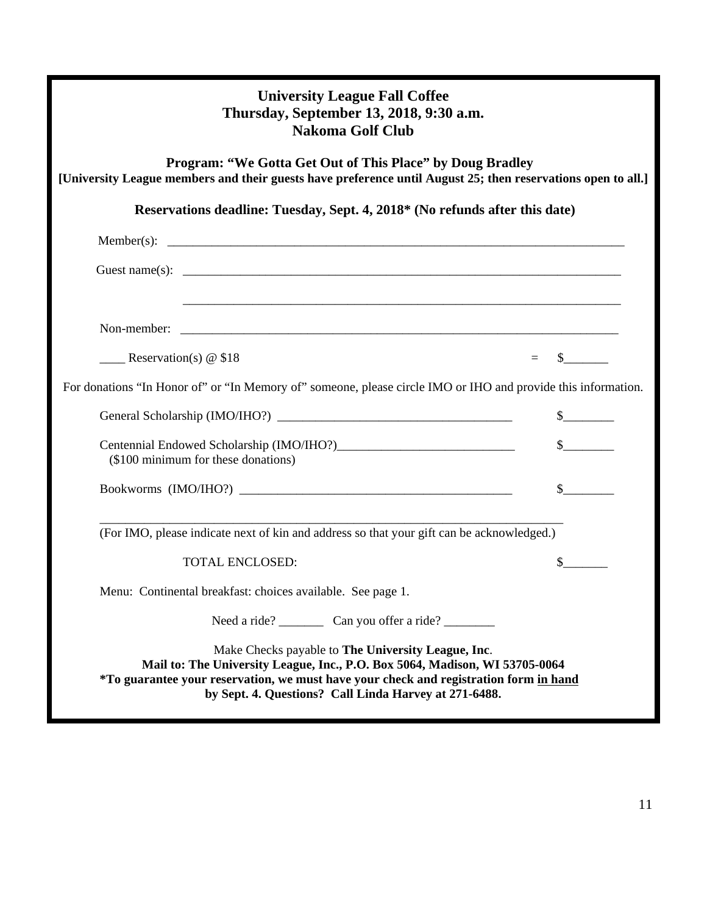| <b>University League Fall Coffee</b><br>Thursday, September 13, 2018, 9:30 a.m.<br><b>Nakoma Golf Club</b>                                                                                                                                                                          |                             |  |
|-------------------------------------------------------------------------------------------------------------------------------------------------------------------------------------------------------------------------------------------------------------------------------------|-----------------------------|--|
| Program: "We Gotta Get Out of This Place" by Doug Bradley<br>[University League members and their guests have preference until August 25; then reservations open to all.]                                                                                                           |                             |  |
| Reservations deadline: Tuesday, Sept. 4, 2018* (No refunds after this date)                                                                                                                                                                                                         |                             |  |
|                                                                                                                                                                                                                                                                                     |                             |  |
|                                                                                                                                                                                                                                                                                     |                             |  |
|                                                                                                                                                                                                                                                                                     |                             |  |
|                                                                                                                                                                                                                                                                                     |                             |  |
| $\equiv$ Reservation(s) @ \$18<br>$=$                                                                                                                                                                                                                                               | $\mathbb{S}$                |  |
| For donations "In Honor of" or "In Memory of" someone, please circle IMO or IHO and provide this information.                                                                                                                                                                       |                             |  |
|                                                                                                                                                                                                                                                                                     | $\frac{\text{S}}{\text{S}}$ |  |
| (\$100 minimum for these donations)                                                                                                                                                                                                                                                 | $\frac{1}{2}$               |  |
|                                                                                                                                                                                                                                                                                     |                             |  |
| (For IMO, please indicate next of kin and address so that your gift can be acknowledged.)                                                                                                                                                                                           |                             |  |
| <b>TOTAL ENCLOSED:</b>                                                                                                                                                                                                                                                              | S.                          |  |
| Menu: Continental breakfast: choices available. See page 1.                                                                                                                                                                                                                         |                             |  |
|                                                                                                                                                                                                                                                                                     |                             |  |
| Make Checks payable to The University League, Inc.<br>Mail to: The University League, Inc., P.O. Box 5064, Madison, WI 53705-0064<br>*To guarantee your reservation, we must have your check and registration form in hand<br>by Sept. 4. Questions? Call Linda Harvey at 271-6488. |                             |  |